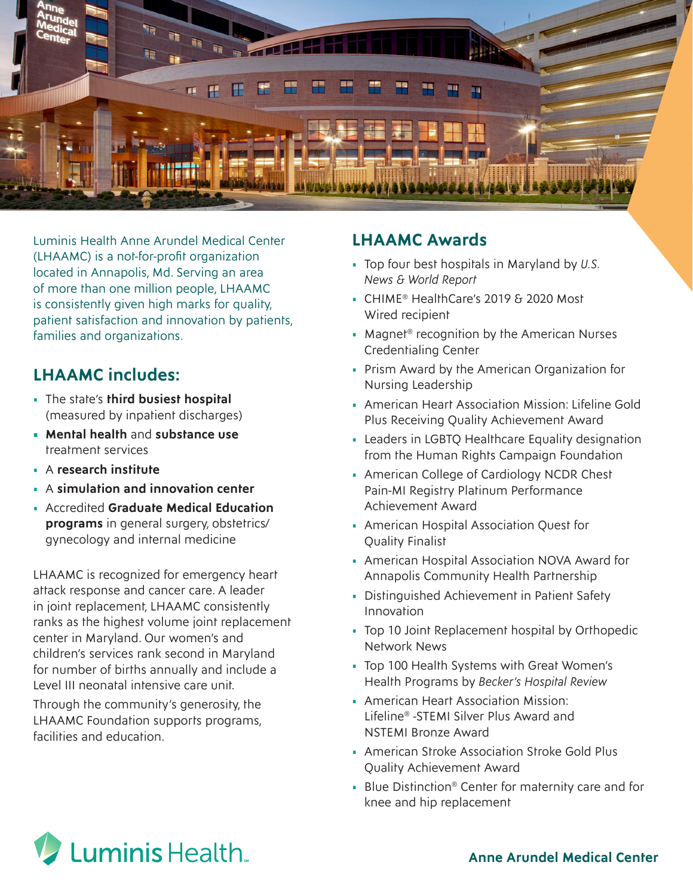

Luminis Health Anne Arundel Medical Center (LHAAMC) is a not-for-profit organization located in Annapolis, Md. Serving an area of more than one million people, LHAAMC is consistently given high marks for quality, patient satisfaction and innovation by patients, families and organizations.

## **LHAAMC includes:**

- The state's **third busiest hospital**  (measured by inpatient discharges)
- **• Mental health** and **substance use** treatment services
- A **research institute**
- A **simulation and innovation center**
- Accredited **Graduate Medical Education programs** in general surgery, obstetrics/ gynecology and internal medicine

LHAAMC is recognized for emergency heart attack response and cancer care. A leader in joint replacement, LHAAMC consistently ranks as the highest volume joint replacement center in Maryland. Our women's and children's services rank second in Maryland for number of births annually and include a Level III neonatal intensive care unit.

Through the community's generosity, the LHAAMC Foundation supports programs, facilities and education.

## **LHAAMC Awards**

- Top four best hospitals in Maryland by *U.S. News & World Report*
- CHIME® HealthCare's 2019 & 2020 Most Wired recipient
- Magnet<sup>®</sup> recognition by the American Nurses Credentialing Center
- Prism Award by the American Organization for Nursing Leadership
- American Heart Association Mission: Lifeline Gold Plus Receiving Quality Achievement Award
- Leaders in LGBTQ Healthcare Equality designation from the Human Rights Campaign Foundation
- American College of Cardiology NCDR Chest Pain-MI Registry Platinum Performance Achievement Award
- American Hospital Association Quest for Quality Finalist
- American Hospital Association NOVA Award for Annapolis Community Health Partnership
- Distinguished Achievement in Patient Safety Innovation
- Top 10 Joint Replacement hospital by Orthopedic Network News
- Top 100 Health Systems with Great Women's Health Programs by *Becker's Hospital Review*
- American Heart Association Mission: Lifeline® -STEMI Silver Plus Award and NSTEMI Bronze Award
- American Stroke Association Stroke Gold Plus Quality Achievement Award
- Blue Distinction® Center for maternity care and for knee and hip replacement



**Anne Arundel Medical Center**